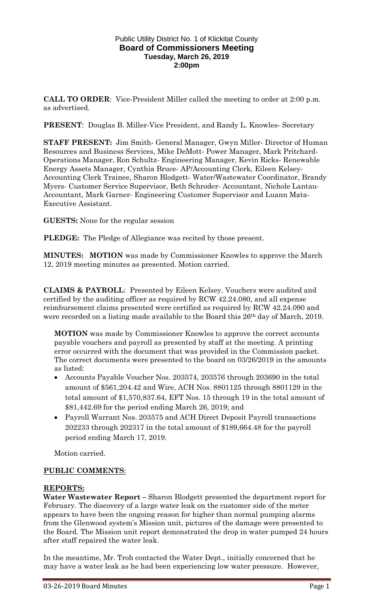## Public Utility District No. 1 of Klickitat County **Board of Commissioners Meeting Tuesday, March 26, 2019 2:00pm**

**CALL TO ORDER**: Vice-President Miller called the meeting to order at 2:00 p.m. as advertised.

**PRESENT:** Douglas B. Miller-Vice President, and Randy L. Knowles-Secretary

**STAFF PRESENT:** Jim Smith- General Manager, Gwyn Miller- Director of Human Resources and Business Services, Mike DeMott- Power Manager, Mark Pritchard-Operations Manager, Ron Schultz- Engineering Manager, Kevin Ricks- Renewable Energy Assets Manager, Cynthia Bruce- AP/Accounting Clerk, Eileen Kelsey-Accounting Clerk Trainee, Sharon Blodgett- Water/Wastewater Coordinator, Brandy Myers- Customer Service Supervisor, Beth Schroder- Accountant, Nichole Lantau-Accountant, Mark Garner- Engineering Customer Supervisor and Luann Mata-Executive Assistant.

**GUESTS:** None for the regular session

**PLEDGE:** The Pledge of Allegiance was recited by those present.

**MINUTES: MOTION** was made by Commissioner Knowles to approve the March 12, 2019 meeting minutes as presented. Motion carried.

**CLAIMS & PAYROLL**: Presented by Eileen Kelsey. Vouchers were audited and certified by the auditing officer as required by RCW 42.24.080, and all expense reimbursement claims presented were certified as required by RCW 42.24.090 and were recorded on a listing made available to the Board this 26<sup>th</sup> day of March, 2019.

**MOTION** was made by Commissioner Knowles to approve the correct accounts payable vouchers and payroll as presented by staff at the meeting. A printing error occurred with the document that was provided in the Commission packet. The correct documents were presented to the board on 03/26/2019 in the amounts as listed:

- Accounts Payable Voucher Nos. 203574, 203576 through 203690 in the total amount of \$561,204.42 and Wire, ACH Nos. 8801125 through 8801129 in the total amount of \$1,570,837.64, EFT Nos. 15 through 19 in the total amount of \$81,442.69 for the period ending March 26, 2019; and
- Payroll Warrant Nos. 203575 and ACH Direct Deposit Payroll transactions 202233 through 202317 in the total amount of \$189,664.48 for the payroll period ending March 17, 2019.

Motion carried.

## **PUBLIC COMMENTS**:

## **REPORTS:**

**Water Wastewater Report –** Sharon Blodgett presented the department report for February. The discovery of a large water leak on the customer side of the meter appears to have been the ongoing reason for higher than normal pumping alarms from the Glenwood system's Mission unit, pictures of the damage were presented to the Board. The Mission unit report demonstrated the drop in water pumped 24 hours after staff repaired the water leak.

In the meantime, Mr. Troh contacted the Water Dept., initially concerned that he may have a water leak as he had been experiencing low water pressure. However,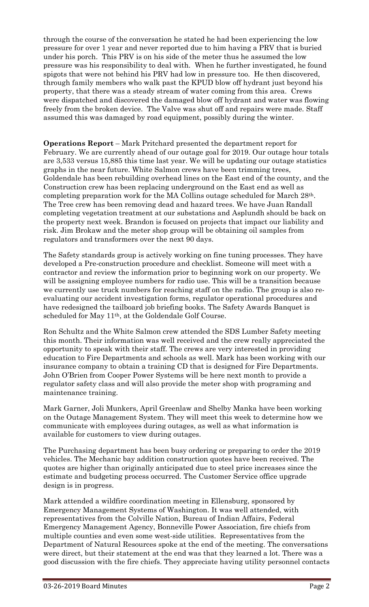through the course of the conversation he stated he had been experiencing the low pressure for over 1 year and never reported due to him having a PRV that is buried under his porch. This PRV is on his side of the meter thus he assumed the low pressure was his responsibility to deal with. When he further investigated, he found spigots that were not behind his PRV had low in pressure too. He then discovered, through family members who walk past the KPUD blow off hydrant just beyond his property, that there was a steady stream of water coming from this area. Crews were dispatched and discovered the damaged blow off hydrant and water was flowing freely from the broken device. The Valve was shut off and repairs were made. Staff assumed this was damaged by road equipment, possibly during the winter.

**Operations Report** – Mark Pritchard presented the department report for February. We are currently ahead of our outage goal for 2019. Our outage hour totals are 3,533 versus 15,885 this time last year. We will be updating our outage statistics graphs in the near future. White Salmon crews have been trimming trees, Goldendale has been rebuilding overhead lines on the East end of the county, and the Construction crew has been replacing underground on the East end as well as completing preparation work for the MA Collins outage scheduled for March 28th. The Tree crew has been removing dead and hazard trees. We have Juan Randall completing vegetation treatment at our substations and Asplundh should be back on the property next week. Brandon is focused on projects that impact our liability and risk. Jim Brokaw and the meter shop group will be obtaining oil samples from regulators and transformers over the next 90 days.

The Safety standards group is actively working on fine tuning processes. They have developed a Pre-construction procedure and checklist. Someone will meet with a contractor and review the information prior to beginning work on our property. We will be assigning employee numbers for radio use. This will be a transition because we currently use truck numbers for reaching staff on the radio. The group is also reevaluating our accident investigation forms, regulator operational procedures and have redesigned the tailboard job briefing books. The Safety Awards Banquet is scheduled for May 11th, at the Goldendale Golf Course.

Ron Schultz and the White Salmon crew attended the SDS Lumber Safety meeting this month. Their information was well received and the crew really appreciated the opportunity to speak with their staff. The crews are very interested in providing education to Fire Departments and schools as well. Mark has been working with our insurance company to obtain a training CD that is designed for Fire Departments. John O'Brien from Cooper Power Systems will be here next month to provide a regulator safety class and will also provide the meter shop with programing and maintenance training.

Mark Garner, Joli Munkers, April Greenlaw and Shelby Manka have been working on the Outage Management System. They will meet this week to determine how we communicate with employees during outages, as well as what information is available for customers to view during outages.

The Purchasing department has been busy ordering or preparing to order the 2019 vehicles. The Mechanic bay addition construction quotes have been received. The quotes are higher than originally anticipated due to steel price increases since the estimate and budgeting process occurred. The Customer Service office upgrade design is in progress.

Mark attended a wildfire coordination meeting in Ellensburg, sponsored by Emergency Management Systems of Washington. It was well attended, with representatives from the Colville Nation, Bureau of Indian Affairs, Federal Emergency Management Agency, Bonneville Power Association, fire chiefs from multiple counties and even some west-side utilities. Representatives from the Department of Natural Resources spoke at the end of the meeting. The conversations were direct, but their statement at the end was that they learned a lot. There was a good discussion with the fire chiefs. They appreciate having utility personnel contacts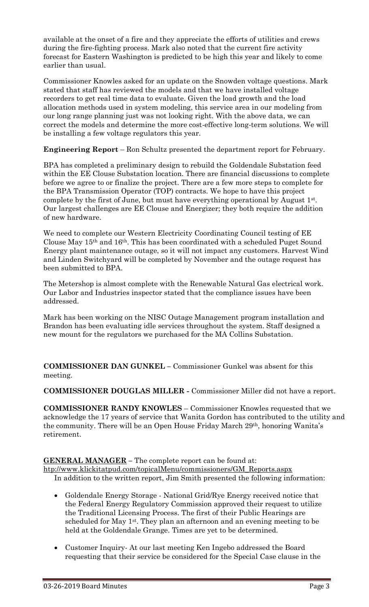available at the onset of a fire and they appreciate the efforts of utilities and crews during the fire-fighting process. Mark also noted that the current fire activity forecast for Eastern Washington is predicted to be high this year and likely to come earlier than usual.

Commissioner Knowles asked for an update on the Snowden voltage questions. Mark stated that staff has reviewed the models and that we have installed voltage recorders to get real time data to evaluate. Given the load growth and the load allocation methods used in system modeling, this service area in our modeling from our long range planning just was not looking right. With the above data, we can correct the models and determine the more cost-effective long-term solutions. We will be installing a few voltage regulators this year.

**Engineering Report** – Ron Schultz presented the department report for February.

BPA has completed a preliminary design to rebuild the Goldendale Substation feed within the EE Clouse Substation location. There are financial discussions to complete before we agree to or finalize the project. There are a few more steps to complete for the BPA Transmission Operator (TOP) contracts. We hope to have this project complete by the first of June, but must have everything operational by August 1st . Our largest challenges are EE Clouse and Energizer; they both require the addition of new hardware.

We need to complete our Western Electricity Coordinating Council testing of EE Clouse May 15th and 16th. This has been coordinated with a scheduled Puget Sound Energy plant maintenance outage, so it will not impact any customers. Harvest Wind and Linden Switchyard will be completed by November and the outage request has been submitted to BPA.

The Metershop is almost complete with the Renewable Natural Gas electrical work. Our Labor and Industries inspector stated that the compliance issues have been addressed.

Mark has been working on the NISC Outage Management program installation and Brandon has been evaluating idle services throughout the system. Staff designed a new mount for the regulators we purchased for the MA Collins Substation.

**COMMISSIONER DAN GUNKEL –** Commissioner Gunkel was absent for this meeting.

**COMMISSIONER DOUGLAS MILLER -** Commissioner Miller did not have a report.

**COMMISSIONER RANDY KNOWLES** – Commissioner Knowles requested that we acknowledge the 17 years of service that Wanita Gordon has contributed to the utility and the community. There will be an Open House Friday March 29th, honoring Wanita's retirement.

**GENERAL MANAGER –** The complete report can be found at:

[htp://www.klickitatpud.com/topicalMenu/commissioners/GM\\_Reports.aspx](http://www.klickitatpud.com/topicalMenu/commissioners/GM_Reports.aspx) In addition to the written report, Jim Smith presented the following information:

- Goldendale Energy Storage National Grid/Rye Energy received notice that the Federal Energy Regulatory Commission approved their request to utilize the Traditional Licensing Process. The first of their Public Hearings are scheduled for May 1<sup>st</sup>. They plan an afternoon and an evening meeting to be held at the Goldendale Grange. Times are yet to be determined.
- Customer Inquiry- At our last meeting Ken Ingebo addressed the Board requesting that their service be considered for the Special Case clause in the